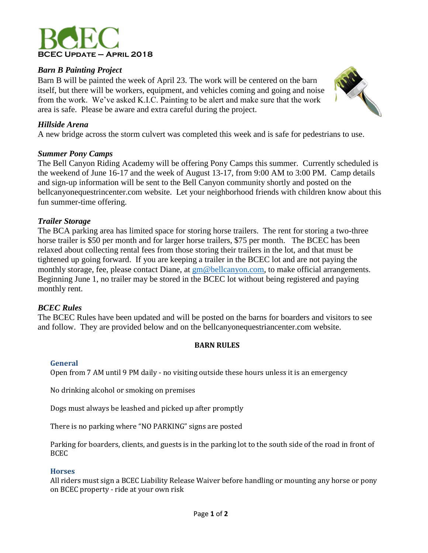

# *Barn B Painting Project*

Barn B will be painted the week of April 23. The work will be centered on the barn itself, but there will be workers, equipment, and vehicles coming and going and noise from the work. We've asked K.I.C. Painting to be alert and make sure that the work area is safe. Please be aware and extra careful during the project.



## *Hillside Arena*

A new bridge across the storm culvert was completed this week and is safe for pedestrians to use.

## *Summer Pony Camps*

The Bell Canyon Riding Academy will be offering Pony Camps this summer. Currently scheduled is the weekend of June 16-17 and the week of August 13-17, from 9:00 AM to 3:00 PM. Camp details and sign-up information will be sent to the Bell Canyon community shortly and posted on the bellcanyonequestrincenter.com website. Let your neighborhood friends with children know about this fun summer-time offering.

# *Trailer Storage*

The BCA parking area has limited space for storing horse trailers. The rent for storing a two-three horse trailer is \$50 per month and for larger horse trailers, \$75 per month. The BCEC has been relaxed about collecting rental fees from those storing their trailers in the lot, and that must be tightened up going forward. If you are keeping a trailer in the BCEC lot and are not paying the monthly storage, fee, please contact Diane, at  $\text{gm@bell}$  bellcanyon.com, to make official arrangements. Beginning June 1, no trailer may be stored in the BCEC lot without being registered and paying monthly rent.

## *BCEC Rules*

The BCEC Rules have been updated and will be posted on the barns for boarders and visitors to see and follow. They are provided below and on the bellcanyonequestriancenter.com website.

## **BARN RULES**

## **General**

Open from 7 AM until 9 PM daily - no visiting outside these hours unless it is an emergency

No drinking alcohol or smoking on premises

Dogs must always be leashed and picked up after promptly

There is no parking where "NO PARKING" signs are posted

Parking for boarders, clients, and guests is in the parking lot to the south side of the road in front of BCEC

## **Horses**

All riders must sign a BCEC Liability Release Waiver before handling or mounting any horse or pony on BCEC property - ride at your own risk